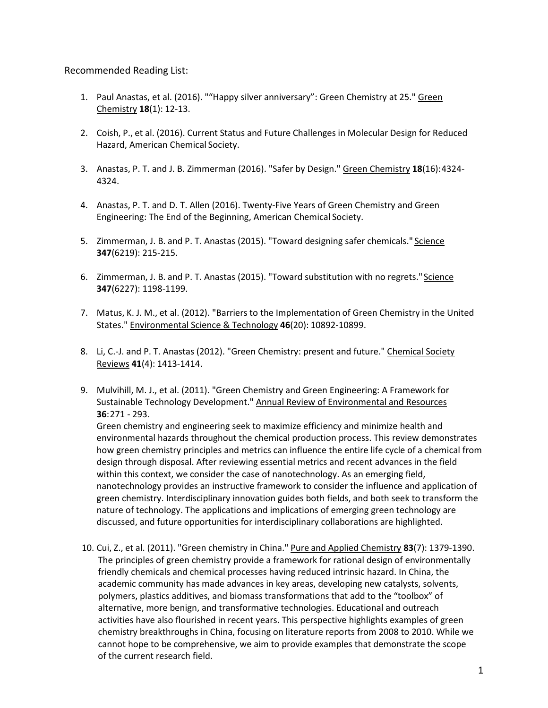## Recommended Reading List:

- 1. Paul Anastas, et al. (2016). ""Happy silver anniversary": Green Chemistry at 25." Green Chemistry **18**(1): 12-13.
- 2. Coish, P., et al. (2016). Current Status and Future Challenges in Molecular Design for Reduced Hazard, American Chemical Society.
- 3. Anastas, P. T. and J. B. Zimmerman (2016). "Safer by Design." Green Chemistry **18**(16):4324- 4324.
- 4. Anastas, P. T. and D. T. Allen (2016). Twenty-Five Years of Green Chemistry and Green Engineering: The End of the Beginning, American Chemical Society.
- 5. Zimmerman, J. B. and P. T. Anastas (2015). "Toward designing safer chemicals." Science **347**(6219): 215-215.
- 6. Zimmerman, J. B. and P. T. Anastas (2015). "Toward substitution with no regrets." Science **347**(6227): 1198-1199.
- 7. Matus, K. J. M., et al. (2012). "Barriers to the Implementation of Green Chemistry in the United States." Environmental Science & Technology **46**(20): 10892-10899.
- 8. Li, C.-J. and P. T. Anastas (2012). "Green Chemistry: present and future." Chemical Society Reviews **41**(4): 1413-1414.
- 9. Mulvihill, M. J., et al. (2011). "Green Chemistry and Green Engineering: A Framework for Sustainable Technology Development." Annual Review of Environmental and Resources **36**:271 - 293.

Green chemistry and engineering seek to maximize efficiency and minimize health and environmental hazards throughout the chemical production process. This review demonstrates how green chemistry principles and metrics can influence the entire life cycle of a chemical from design through disposal. After reviewing essential metrics and recent advances in the field within this context, we consider the case of nanotechnology. As an emerging field, nanotechnology provides an instructive framework to consider the influence and application of green chemistry. Interdisciplinary innovation guides both fields, and both seek to transform the nature of technology. The applications and implications of emerging green technology are discussed, and future opportunities for interdisciplinary collaborations are highlighted.

10. Cui, Z., et al. (2011). "Green chemistry in China." Pure and Applied Chemistry **83**(7): 1379-1390. The principles of green chemistry provide a framework for rational design of environmentally friendly chemicals and chemical processes having reduced intrinsic hazard. In China, the academic community has made advances in key areas, developing new catalysts, solvents, polymers, plastics additives, and biomass transformations that add to the "toolbox" of alternative, more benign, and transformative technologies. Educational and outreach activities have also flourished in recent years. This perspective highlights examples of green chemistry breakthroughs in China, focusing on literature reports from 2008 to 2010. While we cannot hope to be comprehensive, we aim to provide examples that demonstrate the scope of the current research field.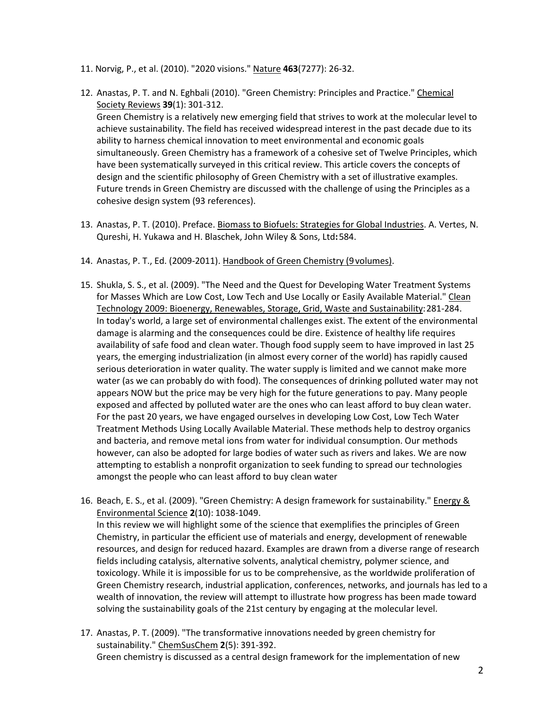- 11. Norvig, P., et al. (2010). "2020 visions." Nature **463**(7277): 26-32.
- 12. Anastas, P. T. and N. Eghbali (2010). "Green Chemistry: Principles and Practice." Chemical Society Reviews **39**(1): 301-312. Green Chemistry is a relatively new emerging field that strives to work at the molecular level to achieve sustainability. The field has received widespread interest in the past decade due to its ability to harness chemical innovation to meet environmental and economic goals simultaneously. Green Chemistry has a framework of a cohesive set of Twelve Principles, which have been systematically surveyed in this critical review. This article covers the concepts of design and the scientific philosophy of Green Chemistry with a set of illustrative examples. Future trends in Green Chemistry are discussed with the challenge of using the Principles as a cohesive design system (93 references).
- 13. Anastas, P. T. (2010). Preface. Biomass to Biofuels: Strategies for Global Industries. A. Vertes, N. Qureshi, H. Yukawa and H. Blaschek, John Wiley & Sons, Ltd**:**584.
- 14. Anastas, P. T., Ed. (2009-2011). Handbook of Green Chemistry (9volumes).
- 15. Shukla, S. S., et al. (2009). "The Need and the Quest for Developing Water Treatment Systems for Masses Which are Low Cost, Low Tech and Use Locally or Easily Available Material." Clean Technology 2009: Bioenergy, Renewables, Storage, Grid, Waste and Sustainability:281-284. In today's world, a large set of environmental challenges exist. The extent of the environmental damage is alarming and the consequences could be dire. Existence of healthy life requires availability of safe food and clean water. Though food supply seem to have improved in last 25 years, the emerging industrialization (in almost every corner of the world) has rapidly caused serious deterioration in water quality. The water supply is limited and we cannot make more water (as we can probably do with food). The consequences of drinking polluted water may not appears NOW but the price may be very high for the future generations to pay. Many people exposed and affected by polluted water are the ones who can least afford to buy clean water. For the past 20 years, we have engaged ourselves in developing Low Cost, Low Tech Water Treatment Methods Using Locally Available Material. These methods help to destroy organics and bacteria, and remove metal ions from water for individual consumption. Our methods however, can also be adopted for large bodies of water such as rivers and lakes. We are now attempting to establish a nonprofit organization to seek funding to spread our technologies amongst the people who can least afford to buy clean water
- 16. Beach, E. S., et al. (2009). "Green Chemistry: A design framework for sustainability." Energy & Environmental Science **2**(10): 1038-1049. In this review we will highlight some of the science that exemplifies the principles of Green Chemistry, in particular the efficient use of materials and energy, development of renewable resources, and design for reduced hazard. Examples are drawn from a diverse range of research fields including catalysis, alternative solvents, analytical chemistry, polymer science, and toxicology. While it is impossible for us to be comprehensive, as the worldwide proliferation of Green Chemistry research, industrial application, conferences, networks, and journals has led to a wealth of innovation, the review will attempt to illustrate how progress has been made toward solving the sustainability goals of the 21st century by engaging at the molecular level.
- 17. Anastas, P. T. (2009). "The transformative innovations needed by green chemistry for sustainability." ChemSusChem **2**(5): 391-392. Green chemistry is discussed as a central design framework for the implementation of new